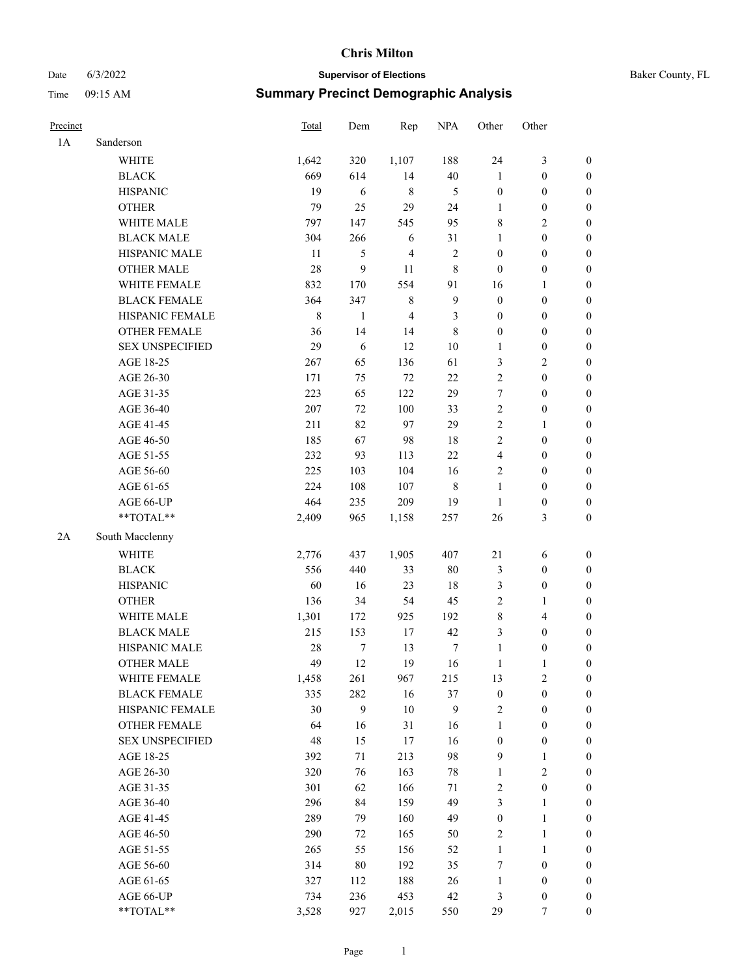|  | Baker County, FL |  |
|--|------------------|--|
|--|------------------|--|

| Date     | 6/3/2022               |       |                                              | <b>Supervisor of Elections</b> |             |                  |                  |                  | Baker County, FL |
|----------|------------------------|-------|----------------------------------------------|--------------------------------|-------------|------------------|------------------|------------------|------------------|
| Time     | 09:15 AM               |       | <b>Summary Precinct Demographic Analysis</b> |                                |             |                  |                  |                  |                  |
| Precinct |                        | Total | Dem                                          | Rep                            | <b>NPA</b>  | Other            | Other            |                  |                  |
| 1A       | Sanderson              |       |                                              |                                |             |                  |                  |                  |                  |
|          | <b>WHITE</b>           | 1,642 | 320                                          | 1,107                          | 188         | 24               | 3                | $\boldsymbol{0}$ |                  |
|          | <b>BLACK</b>           | 669   | 614                                          | 14                             | $40\,$      | $\mathbf{1}$     | $\boldsymbol{0}$ | $\boldsymbol{0}$ |                  |
|          | <b>HISPANIC</b>        | 19    | 6                                            | 8                              | 5           | $\boldsymbol{0}$ | $\mathbf{0}$     | $\overline{0}$   |                  |
|          | <b>OTHER</b>           | 79    | 25                                           | 29                             | 24          | 1                | $\boldsymbol{0}$ | $\boldsymbol{0}$ |                  |
|          | WHITE MALE             | 797   | 147                                          | 545                            | 95          | $\,$ 8 $\,$      | $\mathbf{2}$     | $\boldsymbol{0}$ |                  |
|          | <b>BLACK MALE</b>      | 304   | 266                                          | 6                              | 31          | $\mathbf{1}$     | $\boldsymbol{0}$ | $\boldsymbol{0}$ |                  |
|          | HISPANIC MALE          | 11    | $\mathfrak{S}$                               | $\overline{4}$                 | $\sqrt{2}$  | $\boldsymbol{0}$ | $\boldsymbol{0}$ | $\boldsymbol{0}$ |                  |
|          | <b>OTHER MALE</b>      | 28    | 9                                            | 11                             | $\,$ 8 $\,$ | $\boldsymbol{0}$ | $\boldsymbol{0}$ | $\boldsymbol{0}$ |                  |
|          | WHITE FEMALE           | 832   | 170                                          | 554                            | 91          | 16               | $\mathbf{1}$     | $\boldsymbol{0}$ |                  |
|          | <b>BLACK FEMALE</b>    | 364   | 347                                          | $\,$ $\,$                      | 9           | $\boldsymbol{0}$ | $\boldsymbol{0}$ | $\boldsymbol{0}$ |                  |
|          | HISPANIC FEMALE        | 8     | $\mathbf{1}$                                 | 4                              | 3           | $\boldsymbol{0}$ | $\boldsymbol{0}$ | $\boldsymbol{0}$ |                  |
|          | <b>OTHER FEMALE</b>    | 36    | 14                                           | 14                             | 8           | $\mathbf{0}$     | $\mathbf{0}$     | $\overline{0}$   |                  |
|          | <b>SEX UNSPECIFIED</b> | 29    | 6                                            | 12                             | $10\,$      | $\mathbf{1}$     | $\boldsymbol{0}$ | $\boldsymbol{0}$ |                  |
|          | AGE 18-25              | 267   | 65                                           | 136                            | 61          | 3                | 2                | $\boldsymbol{0}$ |                  |
|          | AGE 26-30              | 171   | 75                                           | 72                             | $22\,$      | $\sqrt{2}$       | $\boldsymbol{0}$ | $\boldsymbol{0}$ |                  |
|          | AGE 31-35              | 223   | 65                                           | 122                            | 29          | $\boldsymbol{7}$ | $\boldsymbol{0}$ | $\boldsymbol{0}$ |                  |
|          | AGE 36-40              | 207   | 72                                           | 100                            | 33          | $\sqrt{2}$       | $\boldsymbol{0}$ | $\boldsymbol{0}$ |                  |
|          | AGE 41-45              | 211   | 82                                           | 97                             | 29          | $\sqrt{2}$       | $\mathbf{1}$     | $\boldsymbol{0}$ |                  |
|          | AGE 46-50              | 185   | 67                                           | 98                             | 18          | $\sqrt{2}$       | $\boldsymbol{0}$ | $\boldsymbol{0}$ |                  |
|          | AGE 51-55              | 232   | 93                                           | 113                            | 22          | $\overline{4}$   | $\boldsymbol{0}$ | $\boldsymbol{0}$ |                  |
|          | AGE 56-60              | 225   | 103                                          | 104                            | 16          | $\overline{2}$   | $\boldsymbol{0}$ | $\boldsymbol{0}$ |                  |
|          | AGE 61-65              | 224   | 108                                          | 107                            | $\,$ 8 $\,$ | $\mathbf{1}$     | $\boldsymbol{0}$ | $\boldsymbol{0}$ |                  |
|          | AGE 66-UP              | 464   | 235                                          | 209                            | 19          | $\mathbf{1}$     | $\boldsymbol{0}$ | $\boldsymbol{0}$ |                  |
|          | $**TOTAL**$            | 2,409 | 965                                          | 1,158                          | 257         | 26               | 3                | $\boldsymbol{0}$ |                  |
| 2A       | South Macclenny        |       |                                              |                                |             |                  |                  |                  |                  |
|          | <b>WHITE</b>           | 2,776 | 437                                          | 1,905                          | 407         | $21\,$           | 6                | $\boldsymbol{0}$ |                  |
|          | <b>BLACK</b>           | 556   | 440                                          | 33                             | $80\,$      | $\mathfrak{Z}$   | $\boldsymbol{0}$ | $\boldsymbol{0}$ |                  |
|          | <b>HISPANIC</b>        | 60    | 16                                           | 23                             | 18          | $\mathfrak{Z}$   | $\boldsymbol{0}$ | $\boldsymbol{0}$ |                  |
|          | <b>OTHER</b>           | 136   | 34                                           | 54                             | 45          | $\overline{2}$   | 1                | $\boldsymbol{0}$ |                  |

WHITE FEMALE 1,458 261 967 215 13 2 0 BLACK FEMALE 335 282 16 37 0 0 0 HISPANIC FEMALE 30 9 10 9 2 0 0 OTHER FEMALE 64 16 31 16 1 0 0 SEX UNSPECIFIED 48 15 17 16 0 0 0 AGE 18-25 392 71 213 98 9 1 0 AGE 26-30 320 76 163 78 1 2 0 AGE 31-35 301 62 166 71 2 0 0 AGE 36-40 296 84 159 49 3 1 0 AGE 41-45 289 79 160 49 0 1 0 AGE 46-50 290 72 165 50 2 1 0 AGE 51-55 265 55 156 52 1 1 0 AGE 56-60 314 80 192 35 7 0 0 AGE 61-65 327 112 188 26 1 0 0 AGE 66-UP 734 236 453 42 3 0 0 \*\*TOTAL\*\* 3,528 927 2,015 550 29 7 0

WHITE MALE 1,301 172 925 192 8 4 0 BLACK MALE 215 153 17 42 3 0 0 HISPANIC MALE 28 7 13 7 1 0 0 OTHER MALE 49 12 19 16 1 1 0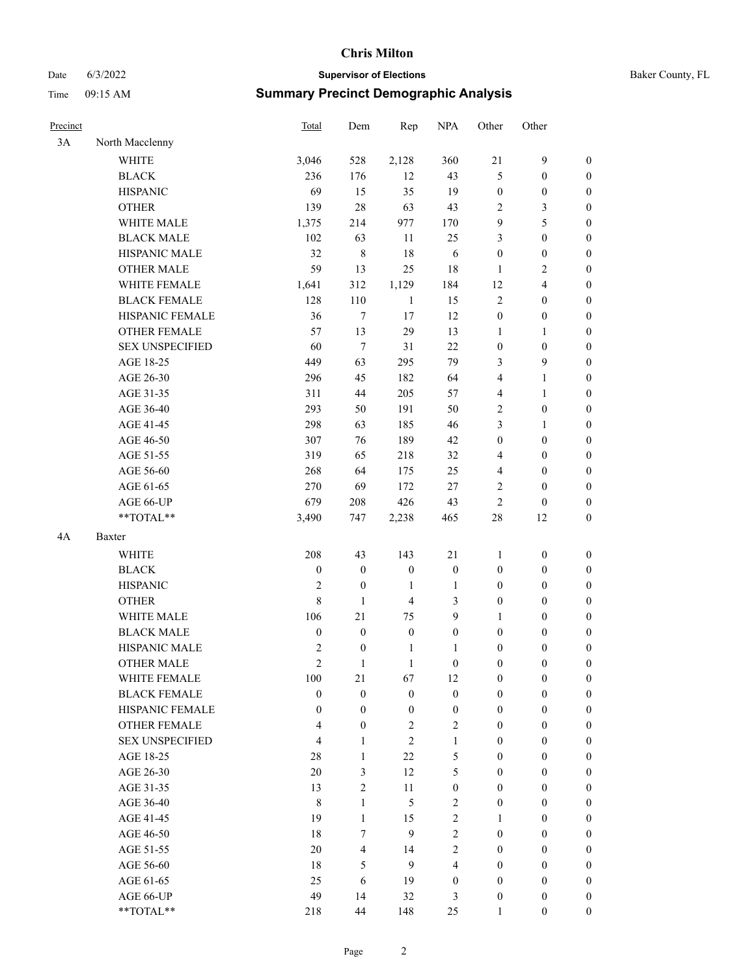# Date 6/3/2022 **Supervisor of Elections Supervisor of Elections** Baker County, FL

## Time 09:15 AM **Summary Precinct Demographic Analysis**

| Precinct |                        | Total            | Dem                      | Rep              | <b>NPA</b>              | Other            | Other                                |                  |
|----------|------------------------|------------------|--------------------------|------------------|-------------------------|------------------|--------------------------------------|------------------|
| 3A       | North Macclenny        |                  |                          |                  |                         |                  |                                      |                  |
|          | <b>WHITE</b>           | 3,046            | 528                      | 2,128            | 360                     | 21               | $\mathbf{9}$                         | $\boldsymbol{0}$ |
|          | <b>BLACK</b>           | 236              | 176                      | 12               | 43                      | 5                | $\boldsymbol{0}$                     | 0                |
|          | <b>HISPANIC</b>        | 69               | 15                       | 35               | 19                      | $\boldsymbol{0}$ | $\boldsymbol{0}$                     | $\boldsymbol{0}$ |
|          | <b>OTHER</b>           | 139              | 28                       | 63               | 43                      | 2                | $\mathfrak{Z}$                       | $\boldsymbol{0}$ |
|          | WHITE MALE             | 1,375            | 214                      | 977              | 170                     | 9                | 5                                    | $\boldsymbol{0}$ |
|          | <b>BLACK MALE</b>      | 102              | 63                       | 11               | 25                      | 3                | $\boldsymbol{0}$                     | $\boldsymbol{0}$ |
|          | HISPANIC MALE          | 32               | $\,$ $\,$                | 18               | 6                       | $\boldsymbol{0}$ | $\boldsymbol{0}$                     | $\boldsymbol{0}$ |
|          | <b>OTHER MALE</b>      | 59               | 13                       | 25               | 18                      | $\mathbf{1}$     | $\overline{2}$                       | $\boldsymbol{0}$ |
|          | WHITE FEMALE           | 1,641            | 312                      | 1,129            | 184                     | 12               | $\overline{4}$                       | $\boldsymbol{0}$ |
|          | <b>BLACK FEMALE</b>    | 128              | 110                      | $\mathbf{1}$     | 15                      | $\sqrt{2}$       | $\boldsymbol{0}$                     | $\boldsymbol{0}$ |
|          | HISPANIC FEMALE        | 36               | $\tau$                   | 17               | 12                      | $\boldsymbol{0}$ | $\boldsymbol{0}$                     | $\boldsymbol{0}$ |
|          | <b>OTHER FEMALE</b>    | 57               | 13                       | 29               | 13                      | $\mathbf{1}$     | $\mathbf{1}$                         | $\boldsymbol{0}$ |
|          | <b>SEX UNSPECIFIED</b> | 60               | $\tau$                   | 31               | 22                      | $\boldsymbol{0}$ | $\boldsymbol{0}$                     | $\boldsymbol{0}$ |
|          | AGE 18-25              | 449              | 63                       | 295              | 79                      | 3                | 9                                    | $\boldsymbol{0}$ |
|          | AGE 26-30              | 296              | 45                       | 182              | 64                      | 4                | $\mathbf{1}$                         | $\boldsymbol{0}$ |
|          | AGE 31-35              | 311              | 44                       | 205              | 57                      | 4                | $\mathbf{1}$                         | $\boldsymbol{0}$ |
|          | AGE 36-40              | 293              | 50                       | 191              | 50                      | 2                | $\boldsymbol{0}$                     | $\boldsymbol{0}$ |
|          | AGE 41-45              | 298              | 63                       | 185              | 46                      | 3                | $\mathbf{1}$                         | $\boldsymbol{0}$ |
|          | AGE 46-50              | 307              | 76                       | 189              | 42                      | $\boldsymbol{0}$ |                                      | $\boldsymbol{0}$ |
|          | AGE 51-55              | 319              | 65                       | 218              | 32                      |                  | $\boldsymbol{0}$<br>$\boldsymbol{0}$ |                  |
|          |                        |                  |                          |                  |                         | 4                |                                      | $\boldsymbol{0}$ |
|          | AGE 56-60              | 268              | 64                       | 175              | 25                      | $\overline{4}$   | $\boldsymbol{0}$                     | $\boldsymbol{0}$ |
|          | AGE 61-65              | 270              | 69                       | 172              | 27                      | 2                | $\boldsymbol{0}$                     | $\boldsymbol{0}$ |
|          | AGE 66-UP              | 679              | 208                      | 426              | 43                      | $\mathbf{2}$     | $\boldsymbol{0}$                     | $\boldsymbol{0}$ |
|          | **TOTAL**              | 3,490            | 747                      | 2,238            | 465                     | $28\,$           | 12                                   | $\boldsymbol{0}$ |
| 4A       | Baxter                 |                  |                          |                  |                         |                  |                                      |                  |
|          | <b>WHITE</b>           | 208              | 43                       | 143              | 21                      | 1                | $\boldsymbol{0}$                     | $\boldsymbol{0}$ |
|          | <b>BLACK</b>           | $\boldsymbol{0}$ | $\boldsymbol{0}$         | $\boldsymbol{0}$ | $\boldsymbol{0}$        | $\boldsymbol{0}$ | $\boldsymbol{0}$                     | $\boldsymbol{0}$ |
|          | <b>HISPANIC</b>        | $\mathfrak{2}$   | $\boldsymbol{0}$         | $\mathbf{1}$     | $\mathbf{1}$            | $\boldsymbol{0}$ | $\boldsymbol{0}$                     | $\boldsymbol{0}$ |
|          | <b>OTHER</b>           | $\,8\,$          | $\mathbf{1}$             | $\overline{4}$   | $\mathfrak{Z}$          | $\boldsymbol{0}$ | $\boldsymbol{0}$                     | $\boldsymbol{0}$ |
|          | WHITE MALE             | 106              | 21                       | 75               | 9                       | $\mathbf{1}$     | $\boldsymbol{0}$                     | $\boldsymbol{0}$ |
|          | <b>BLACK MALE</b>      | $\boldsymbol{0}$ | $\boldsymbol{0}$         | $\boldsymbol{0}$ | $\boldsymbol{0}$        | $\boldsymbol{0}$ | $\boldsymbol{0}$                     | $\boldsymbol{0}$ |
|          | HISPANIC MALE          | $\sqrt{2}$       | $\boldsymbol{0}$         | $\mathbf{1}$     | 1                       | $\boldsymbol{0}$ | $\boldsymbol{0}$                     | $\boldsymbol{0}$ |
|          | OTHER MALE             | $\overline{2}$   | 1                        | $\mathbf{1}$     | $\boldsymbol{0}$        | $\boldsymbol{0}$ | $\boldsymbol{0}$                     | $\boldsymbol{0}$ |
|          | WHITE FEMALE           | 100              | 21                       | 67               | 12                      | 0                | $\boldsymbol{0}$                     | 0                |
|          | <b>BLACK FEMALE</b>    | $\boldsymbol{0}$ | $\boldsymbol{0}$         | $\boldsymbol{0}$ | $\boldsymbol{0}$        | $\boldsymbol{0}$ | $\boldsymbol{0}$                     | $\overline{0}$   |
|          | HISPANIC FEMALE        | $\boldsymbol{0}$ | $\boldsymbol{0}$         | $\boldsymbol{0}$ | $\boldsymbol{0}$        | $\boldsymbol{0}$ | $\boldsymbol{0}$                     | $\overline{0}$   |
|          | <b>OTHER FEMALE</b>    | 4                | $\boldsymbol{0}$         | $\sqrt{2}$       | $\sqrt{2}$              | $\boldsymbol{0}$ | $\boldsymbol{0}$                     | $\overline{0}$   |
|          | <b>SEX UNSPECIFIED</b> | $\overline{4}$   | $\mathbf{1}$             | $\mathfrak{2}$   | $\mathbf{1}$            | $\boldsymbol{0}$ | $\boldsymbol{0}$                     | $\overline{0}$   |
|          | AGE 18-25              | 28               | $\mathbf{1}$             | 22               | $\mathfrak s$           | $\boldsymbol{0}$ | $\boldsymbol{0}$                     | $\overline{0}$   |
|          | AGE 26-30              | 20               | 3                        | 12               | 5                       | $\boldsymbol{0}$ | $\boldsymbol{0}$                     | $\overline{0}$   |
|          | AGE 31-35              | 13               | $\overline{2}$           | 11               | $\boldsymbol{0}$        | $\boldsymbol{0}$ | $\boldsymbol{0}$                     | $\overline{0}$   |
|          | AGE 36-40              | $\,8\,$          | $\mathbf{1}$             | 5                | $\sqrt{2}$              | $\boldsymbol{0}$ | $\boldsymbol{0}$                     | 0                |
|          | AGE 41-45              | 19               | $\mathbf{1}$             | 15               | $\overline{2}$          | 1                | $\boldsymbol{0}$                     | 0                |
|          | AGE 46-50              | 18               | 7                        | 9                | $\overline{2}$          | $\boldsymbol{0}$ | $\boldsymbol{0}$                     | $\overline{0}$   |
|          | AGE 51-55              | 20               | $\overline{\mathcal{L}}$ | 14               | $\overline{2}$          | $\boldsymbol{0}$ | $\boldsymbol{0}$                     | $\overline{0}$   |
|          | AGE 56-60              | 18               | 5                        | 9                | $\overline{\mathbf{4}}$ | $\boldsymbol{0}$ | $\boldsymbol{0}$                     | $\overline{0}$   |
|          | AGE 61-65              | 25               | 6                        | 19               | $\boldsymbol{0}$        | $\boldsymbol{0}$ | $\boldsymbol{0}$                     | $\overline{0}$   |
|          | AGE 66-UP              | 49               | 14                       | 32               | 3                       | $\boldsymbol{0}$ | $\boldsymbol{0}$                     | $\boldsymbol{0}$ |
|          | **TOTAL**              | 218              | 44                       | 148              | 25                      | $\mathbf{1}$     | $\boldsymbol{0}$                     | $\overline{0}$   |
|          |                        |                  |                          |                  |                         |                  |                                      |                  |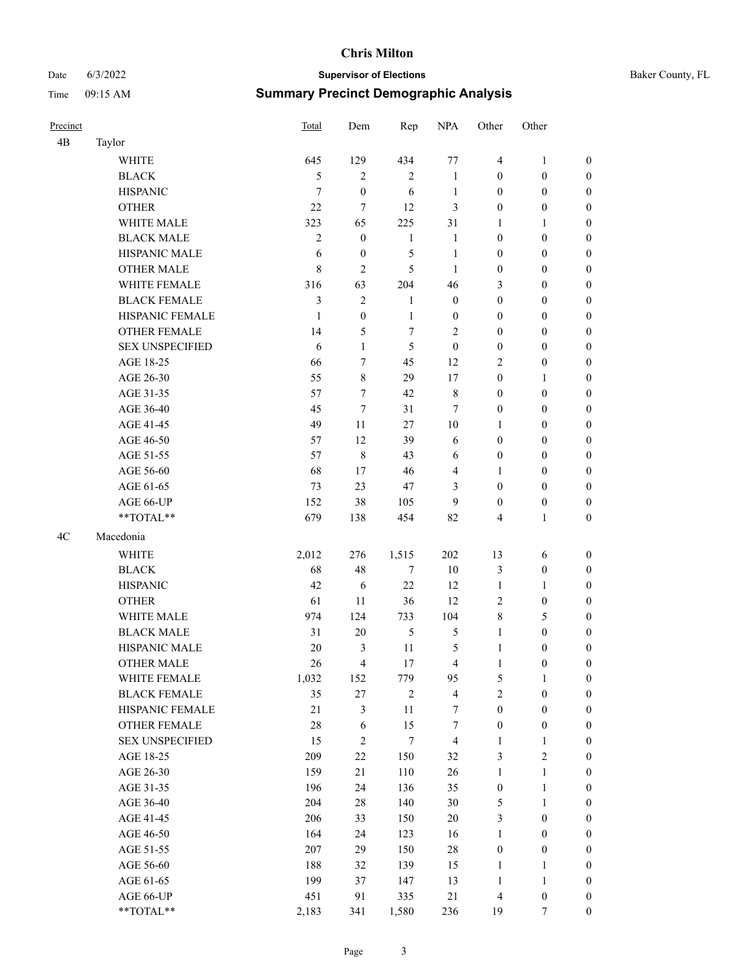## Date 6/3/2022 **Supervisor of Elections** Time 09:15 AM **Summary Precinct Demographic Analysis**

|  | Baker County, FL |  |
|--|------------------|--|
|--|------------------|--|

| Precinct |                        | <b>Total</b>   | Dem              | Rep              | <b>NPA</b>       | Other            | Other            |                  |
|----------|------------------------|----------------|------------------|------------------|------------------|------------------|------------------|------------------|
| 4B       | Taylor                 |                |                  |                  |                  |                  |                  |                  |
|          | <b>WHITE</b>           | 645            | 129              | 434              | 77               | $\overline{4}$   | 1                | $\mathbf{0}$     |
|          | <b>BLACK</b>           | 5              | 2                | $\overline{2}$   | 1                | $\boldsymbol{0}$ | $\boldsymbol{0}$ | $\boldsymbol{0}$ |
|          | <b>HISPANIC</b>        | 7              | $\boldsymbol{0}$ | 6                | 1                | $\boldsymbol{0}$ | $\boldsymbol{0}$ | $\boldsymbol{0}$ |
|          | <b>OTHER</b>           | 22             | 7                | 12               | 3                | $\mathbf{0}$     | $\boldsymbol{0}$ | $\boldsymbol{0}$ |
|          | WHITE MALE             | 323            | 65               | 225              | 31               | 1                | 1                | $\boldsymbol{0}$ |
|          | <b>BLACK MALE</b>      | $\mathfrak{2}$ | $\boldsymbol{0}$ | $\mathbf{1}$     | 1                | $\boldsymbol{0}$ | $\boldsymbol{0}$ | $\boldsymbol{0}$ |
|          | HISPANIC MALE          | 6              | $\boldsymbol{0}$ | 5                | 1                | $\boldsymbol{0}$ | $\boldsymbol{0}$ | $\boldsymbol{0}$ |
|          | <b>OTHER MALE</b>      | 8              | $\overline{c}$   | 5                | 1                | $\boldsymbol{0}$ | $\mathbf{0}$     | $\boldsymbol{0}$ |
|          | WHITE FEMALE           | 316            | 63               | 204              | 46               | 3                | $\boldsymbol{0}$ | $\boldsymbol{0}$ |
|          | <b>BLACK FEMALE</b>    | 3              | $\mathbf{2}$     | 1                | $\mathbf{0}$     | $\boldsymbol{0}$ | $\boldsymbol{0}$ | $\boldsymbol{0}$ |
|          | HISPANIC FEMALE        | 1              | $\boldsymbol{0}$ | 1                | $\boldsymbol{0}$ | $\boldsymbol{0}$ | $\boldsymbol{0}$ | $\boldsymbol{0}$ |
|          | <b>OTHER FEMALE</b>    | 14             | 5                | 7                | $\overline{c}$   | $\boldsymbol{0}$ | $\boldsymbol{0}$ | $\boldsymbol{0}$ |
|          | <b>SEX UNSPECIFIED</b> | 6              | $\mathbf{1}$     | 5                | $\mathbf{0}$     | $\mathbf{0}$     | $\boldsymbol{0}$ | $\boldsymbol{0}$ |
|          | AGE 18-25              | 66             | 7                | 45               | 12               | $\overline{2}$   | $\boldsymbol{0}$ | $\boldsymbol{0}$ |
|          | AGE 26-30              | 55             | 8                | 29               | 17               | $\boldsymbol{0}$ | 1                | $\boldsymbol{0}$ |
|          | AGE 31-35              | 57             | 7                | 42               | 8                | $\boldsymbol{0}$ | $\boldsymbol{0}$ | $\boldsymbol{0}$ |
|          | AGE 36-40              | 45             | 7                | 31               | 7                | $\boldsymbol{0}$ | $\boldsymbol{0}$ | $\boldsymbol{0}$ |
|          | AGE 41-45              | 49             | 11               | 27               | 10               | 1                | $\boldsymbol{0}$ | $\boldsymbol{0}$ |
|          | AGE 46-50              | 57             | 12               | 39               | 6                | $\boldsymbol{0}$ | $\boldsymbol{0}$ | $\boldsymbol{0}$ |
|          | AGE 51-55              | 57             | $\,8\,$          | 43               | 6                | $\boldsymbol{0}$ | $\boldsymbol{0}$ | $\boldsymbol{0}$ |
|          | AGE 56-60              | 68             | 17               | 46               | 4                | 1                | $\boldsymbol{0}$ | $\boldsymbol{0}$ |
|          | AGE 61-65              | 73             | 23               | 47               | 3                | $\boldsymbol{0}$ | $\boldsymbol{0}$ | $\boldsymbol{0}$ |
|          | AGE 66-UP              | 152            | 38               | 105              | 9                | $\boldsymbol{0}$ | $\boldsymbol{0}$ | $\boldsymbol{0}$ |
|          | **TOTAL**              | 679            | 138              | 454              | 82               | $\overline{4}$   | 1                | $\boldsymbol{0}$ |
| 4C       | Macedonia              |                |                  |                  |                  |                  |                  |                  |
|          | <b>WHITE</b>           | 2,012          | 276              | 1,515            | 202              | 13               | 6                | $\boldsymbol{0}$ |
|          | <b>BLACK</b>           | 68             | 48               | $\tau$           | 10               | $\mathfrak{Z}$   | $\boldsymbol{0}$ | $\boldsymbol{0}$ |
|          | <b>HISPANIC</b>        | 42             | 6                | 22               | 12               | 1                | 1                | $\boldsymbol{0}$ |
|          | <b>OTHER</b>           | 61             | 11               | 36               | 12               | $\sqrt{2}$       | $\boldsymbol{0}$ | $\boldsymbol{0}$ |
|          | WHITE MALE             | 974            | 124              | 733              | 104              | $\,$ 8 $\,$      | 5                | $\boldsymbol{0}$ |
|          | <b>BLACK MALE</b>      | 31             | 20               | 5                | 5                | $\mathbf{1}$     | $\boldsymbol{0}$ | $\boldsymbol{0}$ |
|          | <b>HISPANIC MALE</b>   | 20             | 3                | 11               | 5                | 1                | $\boldsymbol{0}$ | $\boldsymbol{0}$ |
|          | <b>OTHER MALE</b>      | 26             | 4                | 17               | 4                | 1                | $\mathbf{0}$     | $\boldsymbol{0}$ |
|          | WHITE FEMALE           | 1,032          | 152              | 779              | 95               | $\mathfrak s$    | $\mathbf{1}$     | $\boldsymbol{0}$ |
|          | <b>BLACK FEMALE</b>    | 35             | $27\,$           | $\sqrt{2}$       | $\overline{4}$   | $\sqrt{2}$       | $\boldsymbol{0}$ | $\boldsymbol{0}$ |
|          | HISPANIC FEMALE        | $21\,$         | 3                | 11               | $\boldsymbol{7}$ | $\boldsymbol{0}$ | $\boldsymbol{0}$ | $\boldsymbol{0}$ |
|          | OTHER FEMALE           | 28             | $\sqrt{6}$       | 15               | $\tau$           | $\boldsymbol{0}$ | $\boldsymbol{0}$ | $\boldsymbol{0}$ |
|          | <b>SEX UNSPECIFIED</b> | 15             | $\overline{2}$   | $\boldsymbol{7}$ | $\overline{4}$   | $\mathbf{1}$     | 1                | $\boldsymbol{0}$ |
|          | AGE 18-25              | 209            | 22               | 150              | 32               | $\mathfrak{Z}$   | $\sqrt{2}$       | $\boldsymbol{0}$ |
|          | AGE 26-30              | 159            | 21               | 110              | $26\,$           | $\mathbf{1}$     | $\mathbf{1}$     | $\boldsymbol{0}$ |
|          | AGE 31-35              | 196            | 24               | 136              | 35               | $\boldsymbol{0}$ | 1                | $\boldsymbol{0}$ |
|          | AGE 36-40              | 204            | 28               | 140              | 30               | 5                | $\mathbf{1}$     | $\boldsymbol{0}$ |
|          | AGE 41-45              | 206            | 33               | 150              | $20\,$           | $\mathfrak{Z}$   | $\boldsymbol{0}$ | $\boldsymbol{0}$ |
|          | AGE 46-50              | 164            | 24               | 123              | 16               | $\mathbf{1}$     | $\boldsymbol{0}$ | $\boldsymbol{0}$ |
|          | AGE 51-55              | 207            | 29               | 150              | $28\,$           | $\boldsymbol{0}$ | $\boldsymbol{0}$ | $\boldsymbol{0}$ |
|          | AGE 56-60              | 188            | 32               | 139              | 15               | $\mathbf{1}$     | $\mathbf{1}$     | $\boldsymbol{0}$ |
|          | AGE 61-65              | 199            | 37               | 147              | 13               | $\mathbf{1}$     | $\mathbf{1}$     | $\boldsymbol{0}$ |
|          | AGE 66-UP              | 451            | 91               | 335              | $21\,$           | $\overline{4}$   | $\boldsymbol{0}$ | $\bf{0}$         |
|          | $**TOTAL**$            | 2,183          | 341              | 1,580            | 236              | 19               | $\tau$           | $\boldsymbol{0}$ |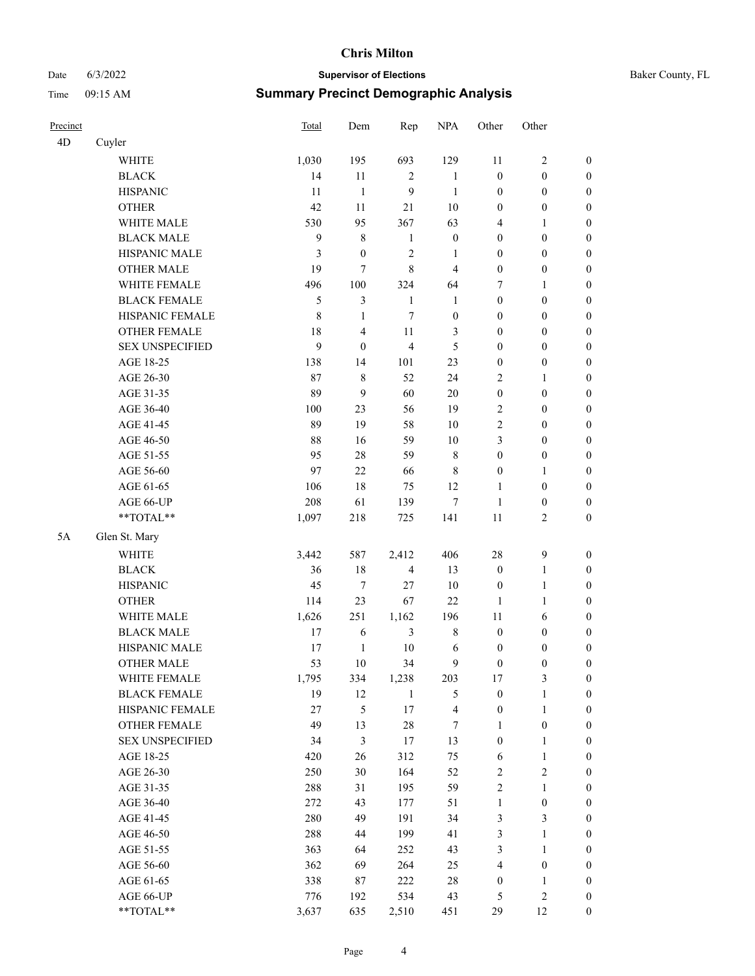## Date 6/3/2022 **Supervisor of Elections Supervisor of Elections** Baker County, FL Time 09:15 AM **Summary Precinct Demographic Analysis**

| Precinct |                        | <b>Total</b>     | Dem              | Rep            | <b>NPA</b>              | Other            | Other            |                  |
|----------|------------------------|------------------|------------------|----------------|-------------------------|------------------|------------------|------------------|
| 4D       | Cuyler                 |                  |                  |                |                         |                  |                  |                  |
|          | <b>WHITE</b>           | 1,030            | 195              | 693            | 129                     | 11               | 2                | $\boldsymbol{0}$ |
|          | <b>BLACK</b>           | 14               | 11               | 2              | 1                       | $\boldsymbol{0}$ | $\boldsymbol{0}$ | $\boldsymbol{0}$ |
|          | <b>HISPANIC</b>        | 11               | $\mathbf{1}$     | 9              | $\mathbf{1}$            | $\boldsymbol{0}$ | $\boldsymbol{0}$ | $\boldsymbol{0}$ |
|          | <b>OTHER</b>           | 42               | 11               | 21             | 10                      | $\boldsymbol{0}$ | $\boldsymbol{0}$ | $\boldsymbol{0}$ |
|          | WHITE MALE             | 530              | 95               | 367            | 63                      | $\overline{4}$   | 1                | $\boldsymbol{0}$ |
|          | <b>BLACK MALE</b>      | $\boldsymbol{9}$ | $\,8\,$          | 1              | $\boldsymbol{0}$        | $\boldsymbol{0}$ | $\mathbf{0}$     | $\boldsymbol{0}$ |
|          | HISPANIC MALE          | 3                | $\boldsymbol{0}$ | $\overline{c}$ | 1                       | $\mathbf{0}$     | $\boldsymbol{0}$ | $\boldsymbol{0}$ |
|          | <b>OTHER MALE</b>      | 19               | $\overline{7}$   | 8              | 4                       | $\boldsymbol{0}$ | $\boldsymbol{0}$ | $\boldsymbol{0}$ |
|          | WHITE FEMALE           | 496              | 100              | 324            | 64                      | 7                | 1                | $\boldsymbol{0}$ |
|          | <b>BLACK FEMALE</b>    | 5                | 3                | 1              | $\mathbf{1}$            | $\boldsymbol{0}$ | $\boldsymbol{0}$ | $\boldsymbol{0}$ |
|          | HISPANIC FEMALE        | 8                | $\mathbf{1}$     | 7              | $\boldsymbol{0}$        | $\mathbf{0}$     | $\boldsymbol{0}$ | $\boldsymbol{0}$ |
|          | <b>OTHER FEMALE</b>    | 18               | $\overline{4}$   | 11             | 3                       | $\mathbf{0}$     | $\boldsymbol{0}$ | $\boldsymbol{0}$ |
|          | <b>SEX UNSPECIFIED</b> | 9                | $\overline{0}$   | $\overline{4}$ | 5                       | $\boldsymbol{0}$ | $\boldsymbol{0}$ | $\boldsymbol{0}$ |
|          | AGE 18-25              | 138              | 14               | 101            | 23                      | $\boldsymbol{0}$ | $\boldsymbol{0}$ | $\boldsymbol{0}$ |
|          | AGE 26-30              | 87               | $\,8\,$          | 52             | 24                      | $\sqrt{2}$       | 1                | $\boldsymbol{0}$ |
|          | AGE 31-35              | 89               | $\mathbf{9}$     | 60             | 20                      | $\boldsymbol{0}$ | $\boldsymbol{0}$ | $\boldsymbol{0}$ |
|          | AGE 36-40              | 100              | 23               | 56             | 19                      | $\overline{2}$   | $\boldsymbol{0}$ | $\boldsymbol{0}$ |
|          | AGE 41-45              | 89               | 19               | 58             | 10                      | $\overline{2}$   | $\boldsymbol{0}$ | $\boldsymbol{0}$ |
|          | AGE 46-50              | 88               | 16               | 59             | 10                      | 3                | $\boldsymbol{0}$ | $\boldsymbol{0}$ |
|          | AGE 51-55              | 95               | 28               | 59             | $\,8\,$                 | $\boldsymbol{0}$ | $\boldsymbol{0}$ | $\boldsymbol{0}$ |
|          | AGE 56-60              | 97               | 22               | 66             | 8                       | $\boldsymbol{0}$ | 1                | $\boldsymbol{0}$ |
|          | AGE 61-65              | 106              | 18               | 75             | 12                      | $\mathbf{1}$     | $\boldsymbol{0}$ | $\boldsymbol{0}$ |
|          | AGE 66-UP              | 208              | 61               | 139            | $\tau$                  | 1                | $\boldsymbol{0}$ | $\boldsymbol{0}$ |
|          | **TOTAL**              | 1,097            | 218              | 725            | 141                     | 11               | 2                | $\boldsymbol{0}$ |
| 5A       | Glen St. Mary          |                  |                  |                |                         |                  |                  |                  |
|          | <b>WHITE</b>           | 3,442            | 587              | 2,412          | 406                     | 28               | 9                | $\boldsymbol{0}$ |
|          | <b>BLACK</b>           | 36               | 18               | $\overline{4}$ | 13                      | $\boldsymbol{0}$ | 1                | $\boldsymbol{0}$ |
|          | <b>HISPANIC</b>        | 45               | $\tau$           | 27             | 10                      | $\boldsymbol{0}$ | 1                | $\boldsymbol{0}$ |
|          | <b>OTHER</b>           | 114              | 23               | 67             | 22                      | 1                | 1                | $\boldsymbol{0}$ |
|          | WHITE MALE             | 1,626            | 251              | 1,162          | 196                     | 11               | 6                | $\boldsymbol{0}$ |
|          | <b>BLACK MALE</b>      | 17               | 6                | $\mathfrak{Z}$ | 8                       | $\boldsymbol{0}$ | $\boldsymbol{0}$ | $\boldsymbol{0}$ |
|          | HISPANIC MALE          | 17               | $\mathbf{1}$     | 10             | 6                       | $\boldsymbol{0}$ | $\boldsymbol{0}$ | $\boldsymbol{0}$ |
|          | <b>OTHER MALE</b>      | 53               | 10               | 34             | 9                       | $\mathbf{0}$     | $\mathbf{0}$     | $\boldsymbol{0}$ |
|          | WHITE FEMALE           | 1,795            | 334              | 1,238          | 203                     | 17               | 3                | $\boldsymbol{0}$ |
|          | <b>BLACK FEMALE</b>    | 19               | 12               | 1              | 5                       | $\boldsymbol{0}$ | $\mathbf{1}$     | $\boldsymbol{0}$ |
|          | HISPANIC FEMALE        | 27               | 5                | 17             | $\overline{\mathbf{4}}$ | $\boldsymbol{0}$ | $\mathbf{1}$     | $\boldsymbol{0}$ |
|          | OTHER FEMALE           | 49               | 13               | $28\,$         | 7                       | 1                | $\boldsymbol{0}$ | $\boldsymbol{0}$ |
|          | <b>SEX UNSPECIFIED</b> | 34               | $\mathfrak{Z}$   | 17             | 13                      | $\boldsymbol{0}$ | $\mathbf{1}$     | $\boldsymbol{0}$ |
|          | AGE 18-25              | 420              | 26               | 312            | 75                      | 6                | $\mathbf{1}$     | $\boldsymbol{0}$ |
|          | AGE 26-30              | 250              | 30               | 164            | 52                      | $\sqrt{2}$       | 2                | $\boldsymbol{0}$ |
|          | AGE 31-35              | 288              | 31               | 195            | 59                      | $\sqrt{2}$       | 1                | $\boldsymbol{0}$ |
|          | AGE 36-40              | 272              | 43               | 177            | 51                      | $\mathbf{1}$     | $\boldsymbol{0}$ | $\boldsymbol{0}$ |
|          | AGE 41-45              | 280              | 49               | 191            | 34                      | $\mathfrak{Z}$   | $\mathfrak{Z}$   | $\boldsymbol{0}$ |
|          | AGE 46-50              | 288              | 44               | 199            | 41                      | $\mathfrak{Z}$   | 1                | $\boldsymbol{0}$ |
|          | AGE 51-55              | 363              | 64               | 252            | 43                      | $\mathfrak{Z}$   | $\mathbf{1}$     | $\boldsymbol{0}$ |
|          | AGE 56-60              | 362              | 69               | 264            | 25                      | $\overline{4}$   | $\boldsymbol{0}$ | $\boldsymbol{0}$ |
|          | AGE 61-65              | 338              | 87               | 222            | $28\,$                  | $\boldsymbol{0}$ | $\mathbf{1}$     | $\boldsymbol{0}$ |
|          | AGE 66-UP              | 776              | 192              | 534            | 43                      | 5                | 2                | $\bf{0}$         |
|          | $**TOTAL**$            | 3,637            | 635              | 2,510          | 451                     | 29               | 12               | $\boldsymbol{0}$ |